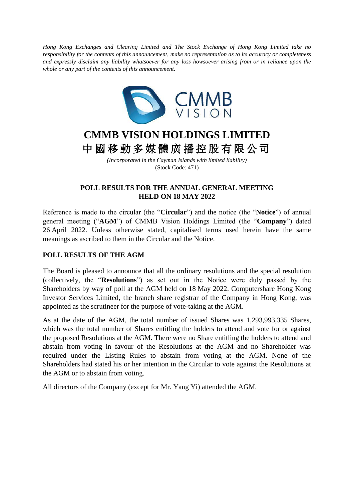*Hong Kong Exchanges and Clearing Limited and The Stock Exchange of Hong Kong Limited take no responsibility for the contents of this announcement, make no representation as to its accuracy or completeness and expressly disclaim any liability whatsoever for any loss howsoever arising from or in reliance upon the whole or any part of the contents of this announcement.*



## **CMMB VISION HOLDINGS LIMITED** 中 國 移 動 多 媒 體 廣 播 控 股 有 限 公 司

*(Incorporated in the Cayman Islands with limited liability)* (Stock Code: 471)

## **POLL RESULTS FOR THE ANNUAL GENERAL MEETING HELD ON 18 MAY 2022**

Reference is made to the circular (the "**Circular**") and the notice (the "**Notice**") of annual general meeting ("**AGM**") of CMMB Vision Holdings Limited (the "**Company**") dated 26 April 2022. Unless otherwise stated, capitalised terms used herein have the same meanings as ascribed to them in the Circular and the Notice.

## **POLL RESULTS OF THE AGM**

The Board is pleased to announce that all the ordinary resolutions and the special resolution (collectively, the "**Resolutions**") as set out in the Notice were duly passed by the Shareholders by way of poll at the AGM held on 18 May 2022. Computershare Hong Kong Investor Services Limited, the branch share registrar of the Company in Hong Kong, was appointed as the scrutineer for the purpose of vote-taking at the AGM.

As at the date of the AGM, the total number of issued Shares was 1,293,993,335 Shares, which was the total number of Shares entitling the holders to attend and vote for or against the proposed Resolutions at the AGM. There were no Share entitling the holders to attend and abstain from voting in favour of the Resolutions at the AGM and no Shareholder was required under the Listing Rules to abstain from voting at the AGM. None of the Shareholders had stated his or her intention in the Circular to vote against the Resolutions at the AGM or to abstain from voting.

All directors of the Company (except for Mr. Yang Yi) attended the AGM.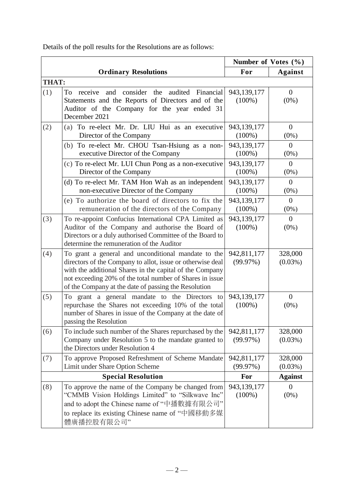|                           |                                                                                                                                                                                                                                                                                                   | Number of Votes (%)      |                           |
|---------------------------|---------------------------------------------------------------------------------------------------------------------------------------------------------------------------------------------------------------------------------------------------------------------------------------------------|--------------------------|---------------------------|
|                           | <b>Ordinary Resolutions</b>                                                                                                                                                                                                                                                                       | For                      | <b>Against</b>            |
| <b>THAT:</b>              |                                                                                                                                                                                                                                                                                                   |                          |                           |
| (1)                       | and consider the audited Financial<br>To<br>receive<br>Statements and the Reports of Directors and of the<br>Auditor of the Company for the year ended 31<br>December 2021                                                                                                                        | 943,139,177<br>$(100\%)$ | $\overline{0}$<br>$(0\%)$ |
| (2)                       | (a) To re-elect Mr. Dr. LIU Hui as an executive<br>Director of the Company                                                                                                                                                                                                                        | 943,139,177<br>$(100\%)$ | $\theta$<br>$(0\%)$       |
|                           | (b) To re-elect Mr. CHOU Tsan-Hsiung as a non-<br>executive Director of the Company                                                                                                                                                                                                               | 943,139,177<br>$(100\%)$ | $\overline{0}$<br>$(0\%)$ |
|                           | (c) To re-elect Mr. LUI Chun Pong as a non-executive<br>Director of the Company                                                                                                                                                                                                                   | 943,139,177<br>$(100\%)$ | $\overline{0}$<br>$(0\%)$ |
|                           | (d) To re-elect Mr. TAM Hon Wah as an independent<br>non-executive Director of the Company                                                                                                                                                                                                        | 943,139,177<br>$(100\%)$ | $\Omega$<br>$(0\%)$       |
|                           | (e) To authorize the board of directors to fix the<br>remuneration of the directors of the Company                                                                                                                                                                                                | 943,139,177<br>$(100\%)$ | $\overline{0}$<br>$(0\%)$ |
| (3)                       | To re-appoint Confucius International CPA Limited as<br>Auditor of the Company and authorise the Board of<br>Directors or a duly authorised Committee of the Board to<br>determine the remuneration of the Auditor                                                                                | 943,139,177<br>$(100\%)$ | $\theta$<br>$(0\%)$       |
| (4)                       | To grant a general and unconditional mandate to the<br>directors of the Company to allot, issue or otherwise deal<br>with the additional Shares in the capital of the Company<br>not exceeding 20% of the total number of Shares in issue<br>of the Company at the date of passing the Resolution | 942,811,177<br>(99.97%)  | 328,000<br>$(0.03\%)$     |
| (5)                       | To grant a general mandate to the Directors<br>to<br>repurchase the Shares not exceeding 10% of the total<br>number of Shares in issue of the Company at the date of<br>passing the Resolution                                                                                                    | 943,139,177<br>$(100\%)$ | $\mathbf{0}$<br>$(0\%)$   |
| (6)                       | To include such number of the Shares repurchased by the<br>Company under Resolution 5 to the mandate granted to<br>the Directors under Resolution 4                                                                                                                                               | 942,811,177<br>(99.97%)  | 328,000<br>$(0.03\%)$     |
| (7)                       | To approve Proposed Refreshment of Scheme Mandate<br>Limit under Share Option Scheme                                                                                                                                                                                                              | 942,811,177<br>(99.97%)  | 328,000<br>$(0.03\%)$     |
| <b>Special Resolution</b> |                                                                                                                                                                                                                                                                                                   | For                      | <b>Against</b>            |
| (8)                       | To approve the name of the Company be changed from<br>"CMMB Vision Holdings Limited" to "Silkwave Inc"<br>and to adopt the Chinese name of "中播數據有限公司"<br>to replace its existing Chinese name of "中國移動多媒<br>體廣播控股有限公司"                                                                            | 943,139,177<br>$(100\%)$ | $\theta$<br>$(0\%)$       |

Details of the poll results for the Resolutions are as follows: